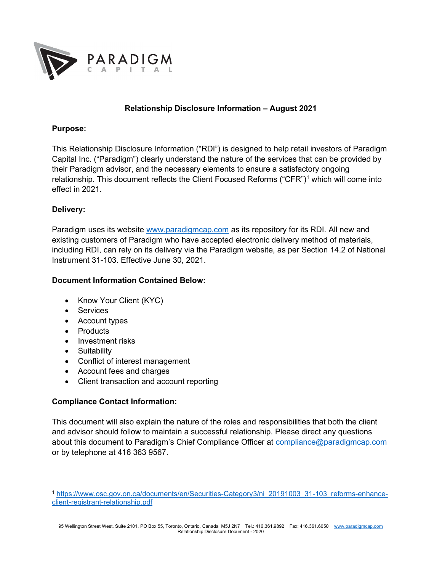

## Relationship Disclosure Information – August 2021

#### Purpose:

This Relationship Disclosure Information ("RDI") is designed to help retail investors of Paradigm Capital Inc. ("Paradigm") clearly understand the nature of the services that can be provided by their Paradigm advisor, and the necessary elements to ensure a satisfactory ongoing relationship. This document reflects the Client Focused Reforms ("CFR")<sup>1</sup> which will come into effect in 2021.

## Delivery:

Paradigm uses its website www.paradigmcap.com as its repository for its RDI. All new and existing customers of Paradigm who have accepted electronic delivery method of materials, including RDI, can rely on its delivery via the Paradigm website, as per Section 14.2 of National Instrument 31-103. Effective June 30, 2021.

## Document Information Contained Below:

- Know Your Client (KYC)
- Services
- Account types
- Products
- Investment risks
- Suitability
- Conflict of interest management
- Account fees and charges
- Client transaction and account reporting

## Compliance Contact Information:

This document will also explain the nature of the roles and responsibilities that both the client and advisor should follow to maintain a successful relationship. Please direct any questions about this document to Paradigm's Chief Compliance Officer at compliance@paradigmcap.com or by telephone at 416 363 9567.

<sup>1</sup> https://www.osc.gov.on.ca/documents/en/Securities-Category3/ni\_20191003\_31-103\_reforms-enhanceclient-registrant-relationship.pdf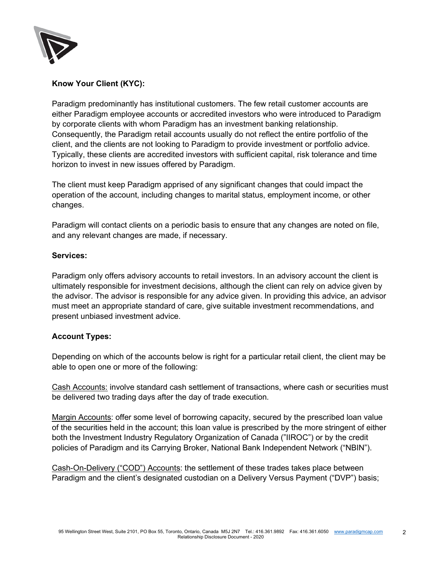

# Know Your Client (KYC):

Paradigm predominantly has institutional customers. The few retail customer accounts are either Paradigm employee accounts or accredited investors who were introduced to Paradigm by corporate clients with whom Paradigm has an investment banking relationship. Consequently, the Paradigm retail accounts usually do not reflect the entire portfolio of the client, and the clients are not looking to Paradigm to provide investment or portfolio advice. Typically, these clients are accredited investors with sufficient capital, risk tolerance and time horizon to invest in new issues offered by Paradigm.

The client must keep Paradigm apprised of any significant changes that could impact the operation of the account, including changes to marital status, employment income, or other changes.

Paradigm will contact clients on a periodic basis to ensure that any changes are noted on file, and any relevant changes are made, if necessary.

## Services:

Paradigm only offers advisory accounts to retail investors. In an advisory account the client is ultimately responsible for investment decisions, although the client can rely on advice given by the advisor. The advisor is responsible for any advice given. In providing this advice, an advisor must meet an appropriate standard of care, give suitable investment recommendations, and present unbiased investment advice.

## Account Types:

Depending on which of the accounts below is right for a particular retail client, the client may be able to open one or more of the following:

Cash Accounts: involve standard cash settlement of transactions, where cash or securities must be delivered two trading days after the day of trade execution.

Margin Accounts: offer some level of borrowing capacity, secured by the prescribed loan value of the securities held in the account; this loan value is prescribed by the more stringent of either both the Investment Industry Regulatory Organization of Canada ("IIROC") or by the credit policies of Paradigm and its Carrying Broker, National Bank Independent Network ("NBIN").

Cash-On-Delivery ("COD") Accounts: the settlement of these trades takes place between Paradigm and the client's designated custodian on a Delivery Versus Payment ("DVP") basis;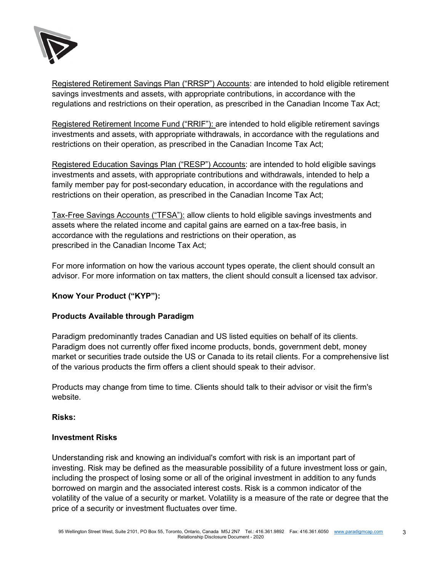

Registered Retirement Savings Plan ("RRSP") Accounts: are intended to hold eligible retirement savings investments and assets, with appropriate contributions, in accordance with the regulations and restrictions on their operation, as prescribed in the Canadian Income Tax Act;

Registered Retirement Income Fund ("RRIF"): are intended to hold eligible retirement savings investments and assets, with appropriate withdrawals, in accordance with the regulations and restrictions on their operation, as prescribed in the Canadian Income Tax Act;

Registered Education Savings Plan ("RESP") Accounts: are intended to hold eligible savings investments and assets, with appropriate contributions and withdrawals, intended to help a family member pay for post-secondary education, in accordance with the regulations and restrictions on their operation, as prescribed in the Canadian Income Tax Act;

Tax-Free Savings Accounts ("TFSA"): allow clients to hold eligible savings investments and assets where the related income and capital gains are earned on a tax-free basis, in accordance with the regulations and restrictions on their operation, as prescribed in the Canadian Income Tax Act;

For more information on how the various account types operate, the client should consult an advisor. For more information on tax matters, the client should consult a licensed tax advisor.

# Know Your Product ("KYP"):

# Products Available through Paradigm

Paradigm predominantly trades Canadian and US listed equities on behalf of its clients. Paradigm does not currently offer fixed income products, bonds, government debt, money market or securities trade outside the US or Canada to its retail clients. For a comprehensive list of the various products the firm offers a client should speak to their advisor.

Products may change from time to time. Clients should talk to their advisor or visit the firm's website.

## Risks:

# Investment Risks

Understanding risk and knowing an individual's comfort with risk is an important part of investing. Risk may be defined as the measurable possibility of a future investment loss or gain, including the prospect of losing some or all of the original investment in addition to any funds borrowed on margin and the associated interest costs. Risk is a common indicator of the volatility of the value of a security or market. Volatility is a measure of the rate or degree that the price of a security or investment fluctuates over time.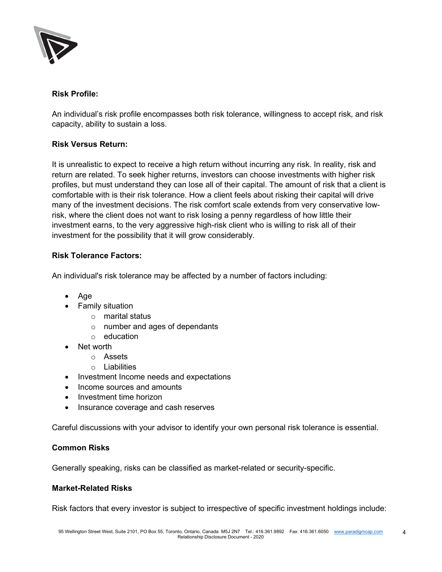

## Risk Profile:

An individual's risk profile encompasses both risk tolerance, willingness to accept risk, and risk capacity, ability to sustain a loss.

## Risk Versus Return:

It is unrealistic to expect to receive a high return without incurring any risk. In reality, risk and return are related. To seek higher returns, investors can choose investments with higher risk profiles, but must understand they can lose all of their capital. The amount of risk that a client is comfortable with is their risk tolerance. How a client feels about risking their capital will drive many of the investment decisions. The risk comfort scale extends from very conservative lowrisk, where the client does not want to risk losing a penny regardless of how little their investment earns, to the very aggressive high-risk client who is willing to risk all of their investment for the possibility that it will grow considerably.

#### Risk Tolerance Factors:

An individual's risk tolerance may be affected by a number of factors including:

- Age
- Family situation
	- o marital status
	- o number and ages of dependants
	- o education
- Net worth
	- o Assets
	- o Liabilities
- Investment Income needs and expectations
- Income sources and amounts
- Investment time horizon
- Insurance coverage and cash reserves

Careful discussions with your advisor to identify your own personal risk tolerance is essential.

#### Common Risks

Generally speaking, risks can be classified as market-related or security-specific.

#### Market-Related Risks

Risk factors that every investor is subject to irrespective of specific investment holdings include: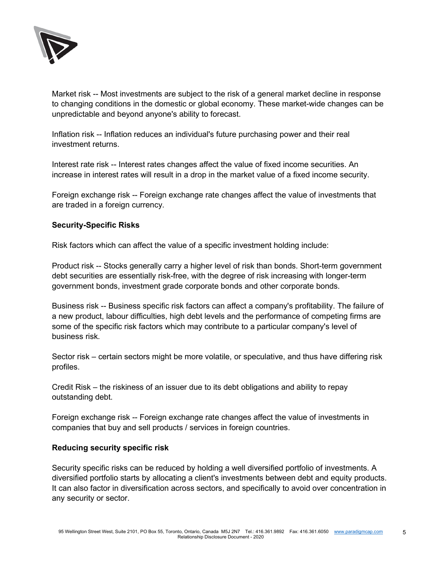

Market risk -- Most investments are subject to the risk of a general market decline in response to changing conditions in the domestic or global economy. These market-wide changes can be unpredictable and beyond anyone's ability to forecast.

Inflation risk -- Inflation reduces an individual's future purchasing power and their real investment returns.

Interest rate risk -- Interest rates changes affect the value of fixed income securities. An increase in interest rates will result in a drop in the market value of a fixed income security.

Foreign exchange risk -- Foreign exchange rate changes affect the value of investments that are traded in a foreign currency.

## Security-Specific Risks

Risk factors which can affect the value of a specific investment holding include:

Product risk -- Stocks generally carry a higher level of risk than bonds. Short-term government debt securities are essentially risk-free, with the degree of risk increasing with longer-term government bonds, investment grade corporate bonds and other corporate bonds.

Business risk -- Business specific risk factors can affect a company's profitability. The failure of a new product, labour difficulties, high debt levels and the performance of competing firms are some of the specific risk factors which may contribute to a particular company's level of business risk.

Sector risk – certain sectors might be more volatile, or speculative, and thus have differing risk profiles.

Credit Risk – the riskiness of an issuer due to its debt obligations and ability to repay outstanding debt.

Foreign exchange risk -- Foreign exchange rate changes affect the value of investments in companies that buy and sell products / services in foreign countries.

## Reducing security specific risk

Security specific risks can be reduced by holding a well diversified portfolio of investments. A diversified portfolio starts by allocating a client's investments between debt and equity products. It can also factor in diversification across sectors, and specifically to avoid over concentration in any security or sector.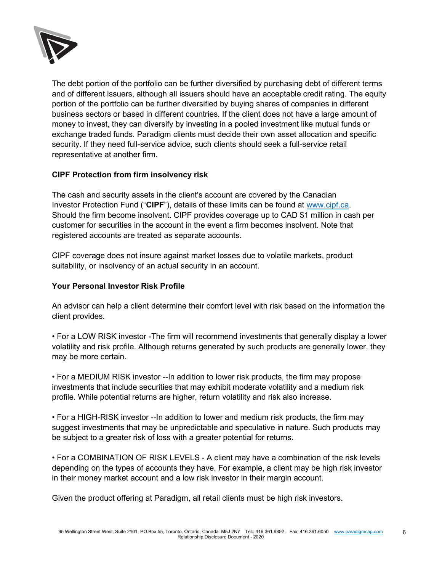

The debt portion of the portfolio can be further diversified by purchasing debt of different terms and of different issuers, although all issuers should have an acceptable credit rating. The equity portion of the portfolio can be further diversified by buying shares of companies in different business sectors or based in different countries. If the client does not have a large amount of money to invest, they can diversify by investing in a pooled investment like mutual funds or exchange traded funds. Paradigm clients must decide their own asset allocation and specific security. If they need full-service advice, such clients should seek a full-service retail representative at another firm.

## CIPF Protection from firm insolvency risk

The cash and security assets in the client's account are covered by the Canadian Investor Protection Fund ("CIPF"), details of these limits can be found at www.cipf.ca. Should the firm become insolvent. CIPF provides coverage up to CAD \$1 million in cash per customer for securities in the account in the event a firm becomes insolvent. Note that registered accounts are treated as separate accounts.

CIPF coverage does not insure against market losses due to volatile markets, product suitability, or insolvency of an actual security in an account.

### Your Personal Investor Risk Profile

An advisor can help a client determine their comfort level with risk based on the information the client provides.

• For a LOW RISK investor -The firm will recommend investments that generally display a lower volatility and risk profile. Although returns generated by such products are generally lower, they may be more certain.

• For a MEDIUM RISK investor --In addition to lower risk products, the firm may propose investments that include securities that may exhibit moderate volatility and a medium risk profile. While potential returns are higher, return volatility and risk also increase.

• For a HIGH-RISK investor --In addition to lower and medium risk products, the firm may suggest investments that may be unpredictable and speculative in nature. Such products may be subject to a greater risk of loss with a greater potential for returns.

• For a COMBINATION OF RISK LEVELS - A client may have a combination of the risk levels depending on the types of accounts they have. For example, a client may be high risk investor in their money market account and a low risk investor in their margin account.

Given the product offering at Paradigm, all retail clients must be high risk investors.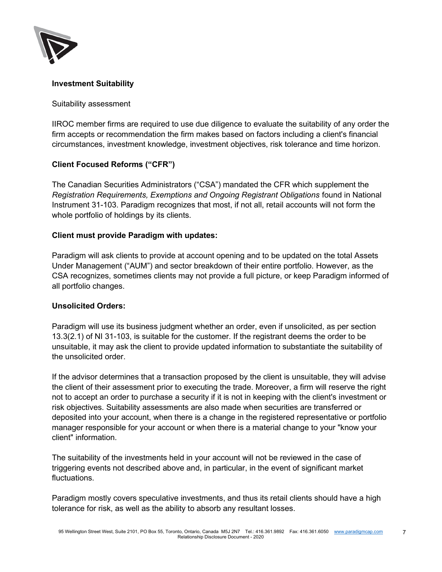

## Investment Suitability

#### Suitability assessment

IIROC member firms are required to use due diligence to evaluate the suitability of any order the firm accepts or recommendation the firm makes based on factors including a client's financial circumstances, investment knowledge, investment objectives, risk tolerance and time horizon.

## Client Focused Reforms ("CFR")

The Canadian Securities Administrators ("CSA") mandated the CFR which supplement the Registration Requirements, Exemptions and Ongoing Registrant Obligations found in National Instrument 31-103. Paradigm recognizes that most, if not all, retail accounts will not form the whole portfolio of holdings by its clients.

## Client must provide Paradigm with updates:

Paradigm will ask clients to provide at account opening and to be updated on the total Assets Under Management ("AUM") and sector breakdown of their entire portfolio. However, as the CSA recognizes, sometimes clients may not provide a full picture, or keep Paradigm informed of all portfolio changes.

## Unsolicited Orders:

Paradigm will use its business judgment whether an order, even if unsolicited, as per section 13.3(2.1) of NI 31-103, is suitable for the customer. If the registrant deems the order to be unsuitable, it may ask the client to provide updated information to substantiate the suitability of the unsolicited order.

If the advisor determines that a transaction proposed by the client is unsuitable, they will advise the client of their assessment prior to executing the trade. Moreover, a firm will reserve the right not to accept an order to purchase a security if it is not in keeping with the client's investment or risk objectives. Suitability assessments are also made when securities are transferred or deposited into your account, when there is a change in the registered representative or portfolio manager responsible for your account or when there is a material change to your "know your client" information.

The suitability of the investments held in your account will not be reviewed in the case of triggering events not described above and, in particular, in the event of significant market fluctuations.

Paradigm mostly covers speculative investments, and thus its retail clients should have a high tolerance for risk, as well as the ability to absorb any resultant losses.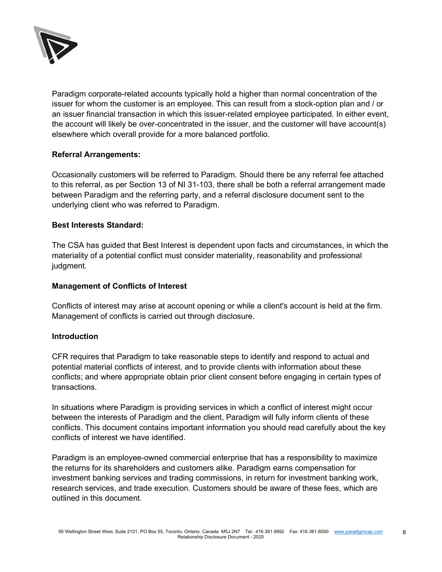

Paradigm corporate-related accounts typically hold a higher than normal concentration of the issuer for whom the customer is an employee. This can result from a stock-option plan and / or an issuer financial transaction in which this issuer-related employee participated. In either event, the account will likely be over-concentrated in the issuer, and the customer will have account(s) elsewhere which overall provide for a more balanced portfolio.

## Referral Arrangements:

Occasionally customers will be referred to Paradigm. Should there be any referral fee attached to this referral, as per Section 13 of NI 31-103, there shall be both a referral arrangement made between Paradigm and the referring party, and a referral disclosure document sent to the underlying client who was referred to Paradigm.

## Best Interests Standard:

The CSA has guided that Best Interest is dependent upon facts and circumstances, in which the materiality of a potential conflict must consider materiality, reasonability and professional judgment.

### Management of Conflicts of Interest

Conflicts of interest may arise at account opening or while a client's account is held at the firm. Management of conflicts is carried out through disclosure.

## **Introduction**

CFR requires that Paradigm to take reasonable steps to identify and respond to actual and potential material conflicts of interest, and to provide clients with information about these conflicts; and where appropriate obtain prior client consent before engaging in certain types of transactions.

In situations where Paradigm is providing services in which a conflict of interest might occur between the interests of Paradigm and the client, Paradigm will fully inform clients of these conflicts. This document contains important information you should read carefully about the key conflicts of interest we have identified.

Paradigm is an employee-owned commercial enterprise that has a responsibility to maximize the returns for its shareholders and customers alike. Paradigm earns compensation for investment banking services and trading commissions, in return for investment banking work, research services, and trade execution. Customers should be aware of these fees, which are outlined in this document.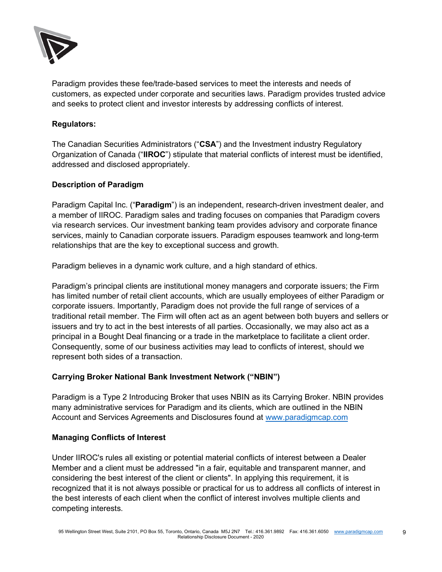

Paradigm provides these fee/trade-based services to meet the interests and needs of customers, as expected under corporate and securities laws. Paradigm provides trusted advice and seeks to protect client and investor interests by addressing conflicts of interest.

## Regulators:

The Canadian Securities Administrators ("CSA") and the Investment industry Regulatory Organization of Canada ("IIROC") stipulate that material conflicts of interest must be identified, addressed and disclosed appropriately.

## Description of Paradigm

Paradigm Capital Inc. ("Paradigm") is an independent, research-driven investment dealer, and a member of IIROC. Paradigm sales and trading focuses on companies that Paradigm covers via research services. Our investment banking team provides advisory and corporate finance services, mainly to Canadian corporate issuers. Paradigm espouses teamwork and long-term relationships that are the key to exceptional success and growth.

Paradigm believes in a dynamic work culture, and a high standard of ethics.

Paradigm's principal clients are institutional money managers and corporate issuers; the Firm has limited number of retail client accounts, which are usually employees of either Paradigm or corporate issuers. Importantly, Paradigm does not provide the full range of services of a traditional retail member. The Firm will often act as an agent between both buyers and sellers or issuers and try to act in the best interests of all parties. Occasionally, we may also act as a principal in a Bought Deal financing or a trade in the marketplace to facilitate a client order. Consequently, some of our business activities may lead to conflicts of interest, should we represent both sides of a transaction.

## Carrying Broker National Bank Investment Network ("NBIN")

Paradigm is a Type 2 Introducing Broker that uses NBIN as its Carrying Broker. NBIN provides many administrative services for Paradigm and its clients, which are outlined in the NBIN Account and Services Agreements and Disclosures found at www.paradigmcap.com

## Managing Conflicts of Interest

Under IIROC's rules all existing or potential material conflicts of interest between a Dealer Member and a client must be addressed "in a fair, equitable and transparent manner, and considering the best interest of the client or clients". In applying this requirement, it is recognized that it is not always possible or practical for us to address all conflicts of interest in the best interests of each client when the conflict of interest involves multiple clients and competing interests.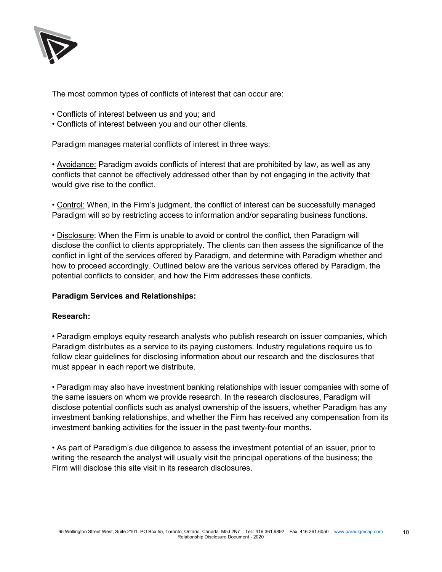

The most common types of conflicts of interest that can occur are:

- Conflicts of interest between us and you; and
- Conflicts of interest between you and our other clients.

Paradigm manages material conflicts of interest in three ways:

• Avoidance: Paradigm avoids conflicts of interest that are prohibited by law, as well as any conflicts that cannot be effectively addressed other than by not engaging in the activity that would give rise to the conflict.

• Control: When, in the Firm's judgment, the conflict of interest can be successfully managed Paradigm will so by restricting access to information and/or separating business functions.

• Disclosure: When the Firm is unable to avoid or control the conflict, then Paradigm will disclose the conflict to clients appropriately. The clients can then assess the significance of the conflict in light of the services offered by Paradigm, and determine with Paradigm whether and how to proceed accordingly. Outlined below are the various services offered by Paradigm, the potential conflicts to consider, and how the Firm addresses these conflicts.

## Paradigm Services and Relationships:

## Research:

• Paradigm employs equity research analysts who publish research on issuer companies, which Paradigm distributes as a service to its paying customers. Industry regulations require us to follow clear guidelines for disclosing information about our research and the disclosures that must appear in each report we distribute.

• Paradigm may also have investment banking relationships with issuer companies with some of the same issuers on whom we provide research. In the research disclosures, Paradigm will disclose potential conflicts such as analyst ownership of the issuers, whether Paradigm has any investment banking relationships, and whether the Firm has received any compensation from its investment banking activities for the issuer in the past twenty-four months.

• As part of Paradigm's due diligence to assess the investment potential of an issuer, prior to writing the research the analyst will usually visit the principal operations of the business; the Firm will disclose this site visit in its research disclosures.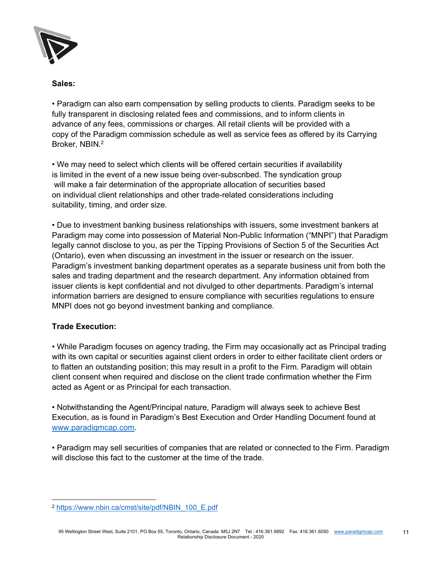

## Sales:

• Paradigm can also earn compensation by selling products to clients. Paradigm seeks to be fully transparent in disclosing related fees and commissions, and to inform clients in advance of any fees, commissions or charges. All retail clients will be provided with a copy of the Paradigm commission schedule as well as service fees as offered by its Carrying Broker, NBIN.<sup>2</sup>

• We may need to select which clients will be offered certain securities if availability is limited in the event of a new issue being over-subscribed. The syndication group will make a fair determination of the appropriate allocation of securities based on individual client relationships and other trade-related considerations including suitability, timing, and order size.

• Due to investment banking business relationships with issuers, some investment bankers at Paradigm may come into possession of Material Non-Public Information ("MNPI") that Paradigm legally cannot disclose to you, as per the Tipping Provisions of Section 5 of the Securities Act (Ontario), even when discussing an investment in the issuer or research on the issuer. Paradigm's investment banking department operates as a separate business unit from both the sales and trading department and the research department. Any information obtained from issuer clients is kept confidential and not divulged to other departments. Paradigm's internal information barriers are designed to ensure compliance with securities regulations to ensure MNPI does not go beyond investment banking and compliance.

# Trade Execution:

• While Paradigm focuses on agency trading, the Firm may occasionally act as Principal trading with its own capital or securities against client orders in order to either facilitate client orders or to flatten an outstanding position; this may result in a profit to the Firm. Paradigm will obtain client consent when required and disclose on the client trade confirmation whether the Firm acted as Agent or as Principal for each transaction.

• Notwithstanding the Agent/Principal nature, Paradigm will always seek to achieve Best Execution, as is found in Paradigm's Best Execution and Order Handling Document found at www.paradigmcap.com.

• Paradigm may sell securities of companies that are related or connected to the Firm. Paradigm will disclose this fact to the customer at the time of the trade.

<sup>2</sup> https://www.nbin.ca/cmst/site/pdf/NBIN\_100\_E.pdf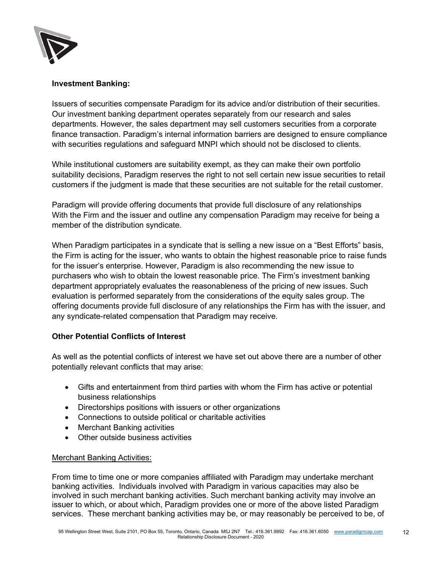

## Investment Banking:

Issuers of securities compensate Paradigm for its advice and/or distribution of their securities. Our investment banking department operates separately from our research and sales departments. However, the sales department may sell customers securities from a corporate finance transaction. Paradigm's internal information barriers are designed to ensure compliance with securities regulations and safeguard MNPI which should not be disclosed to clients.

While institutional customers are suitability exempt, as they can make their own portfolio suitability decisions, Paradigm reserves the right to not sell certain new issue securities to retail customers if the judgment is made that these securities are not suitable for the retail customer.

Paradigm will provide offering documents that provide full disclosure of any relationships With the Firm and the issuer and outline any compensation Paradigm may receive for being a member of the distribution syndicate.

When Paradigm participates in a syndicate that is selling a new issue on a "Best Efforts" basis, the Firm is acting for the issuer, who wants to obtain the highest reasonable price to raise funds for the issuer's enterprise. However, Paradigm is also recommending the new issue to purchasers who wish to obtain the lowest reasonable price. The Firm's investment banking department appropriately evaluates the reasonableness of the pricing of new issues. Such evaluation is performed separately from the considerations of the equity sales group. The offering documents provide full disclosure of any relationships the Firm has with the issuer, and any syndicate-related compensation that Paradigm may receive.

## Other Potential Conflicts of Interest

As well as the potential conflicts of interest we have set out above there are a number of other potentially relevant conflicts that may arise:

- Gifts and entertainment from third parties with whom the Firm has active or potential business relationships
- Directorships positions with issuers or other organizations
- Connections to outside political or charitable activities
- Merchant Banking activities
- Other outside business activities

## Merchant Banking Activities:

From time to time one or more companies affiliated with Paradigm may undertake merchant banking activities. Individuals involved with Paradigm in various capacities may also be involved in such merchant banking activities. Such merchant banking activity may involve an issuer to which, or about which, Paradigm provides one or more of the above listed Paradigm services. These merchant banking activities may be, or may reasonably be perceived to be, of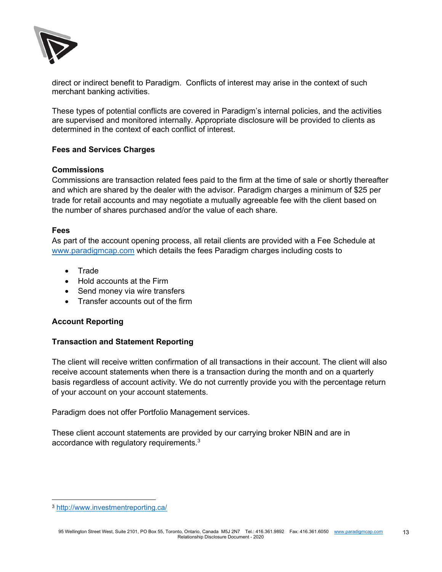

direct or indirect benefit to Paradigm. Conflicts of interest may arise in the context of such merchant banking activities.

These types of potential conflicts are covered in Paradigm's internal policies, and the activities are supervised and monitored internally. Appropriate disclosure will be provided to clients as determined in the context of each conflict of interest.

## Fees and Services Charges

#### **Commissions**

Commissions are transaction related fees paid to the firm at the time of sale or shortly thereafter and which are shared by the dealer with the advisor. Paradigm charges a minimum of \$25 per trade for retail accounts and may negotiate a mutually agreeable fee with the client based on the number of shares purchased and/or the value of each share.

#### Fees

As part of the account opening process, all retail clients are provided with a Fee Schedule at www.paradigmcap.com which details the fees Paradigm charges including costs to

- Trade
- Hold accounts at the Firm
- Send money via wire transfers
- Transfer accounts out of the firm

## Account Reporting

## Transaction and Statement Reporting

The client will receive written confirmation of all transactions in their account. The client will also receive account statements when there is a transaction during the month and on a quarterly basis regardless of account activity. We do not currently provide you with the percentage return of your account on your account statements.

Paradigm does not offer Portfolio Management services.

These client account statements are provided by our carrying broker NBIN and are in accordance with regulatory requirements.<sup>3</sup>

<sup>3</sup> http://www.investmentreporting.ca/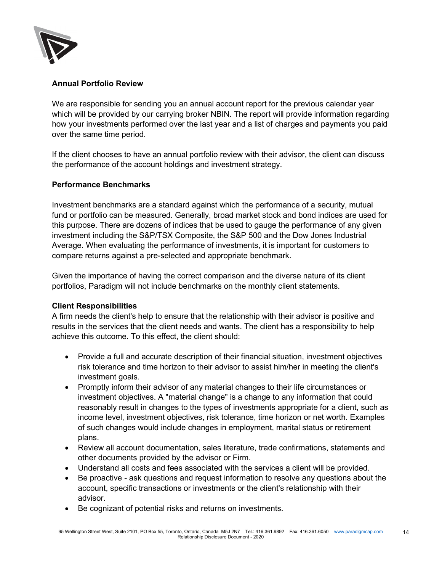

# Annual Portfolio Review

We are responsible for sending you an annual account report for the previous calendar year which will be provided by our carrying broker NBIN. The report will provide information regarding how your investments performed over the last year and a list of charges and payments you paid over the same time period.

If the client chooses to have an annual portfolio review with their advisor, the client can discuss the performance of the account holdings and investment strategy.

## Performance Benchmarks

Investment benchmarks are a standard against which the performance of a security, mutual fund or portfolio can be measured. Generally, broad market stock and bond indices are used for this purpose. There are dozens of indices that be used to gauge the performance of any given investment including the S&P/TSX Composite, the S&P 500 and the Dow Jones Industrial Average. When evaluating the performance of investments, it is important for customers to compare returns against a pre-selected and appropriate benchmark.

Given the importance of having the correct comparison and the diverse nature of its client portfolios, Paradigm will not include benchmarks on the monthly client statements.

## Client Responsibilities

A firm needs the client's help to ensure that the relationship with their advisor is positive and results in the services that the client needs and wants. The client has a responsibility to help achieve this outcome. To this effect, the client should:

- Provide a full and accurate description of their financial situation, investment objectives risk tolerance and time horizon to their advisor to assist him/her in meeting the client's investment goals.
- Promptly inform their advisor of any material changes to their life circumstances or investment objectives. A "material change" is a change to any information that could reasonably result in changes to the types of investments appropriate for a client, such as income level, investment objectives, risk tolerance, time horizon or net worth. Examples of such changes would include changes in employment, marital status or retirement plans.
- Review all account documentation, sales literature, trade confirmations, statements and other documents provided by the advisor or Firm.
- Understand all costs and fees associated with the services a client will be provided.
- Be proactive ask questions and request information to resolve any questions about the account, specific transactions or investments or the client's relationship with their advisor.
- Be cognizant of potential risks and returns on investments.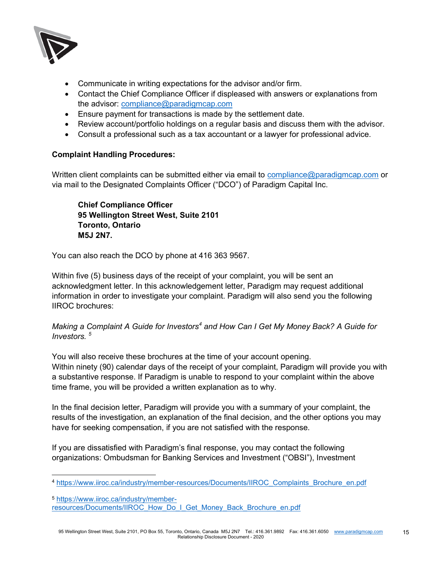

- Communicate in writing expectations for the advisor and/or firm.
- Contact the Chief Compliance Officer if displeased with answers or explanations from the advisor: compliance@paradigmcap.com
- Ensure payment for transactions is made by the settlement date.
- Review account/portfolio holdings on a regular basis and discuss them with the advisor.
- Consult a professional such as a tax accountant or a lawyer for professional advice.

## Complaint Handling Procedures:

Written client complaints can be submitted either via email to compliance@paradigmcap.com or via mail to the Designated Complaints Officer ("DCO") of Paradigm Capital Inc.

Chief Compliance Officer 95 Wellington Street West, Suite 2101 Toronto, Ontario M5J 2N7.

You can also reach the DCO by phone at 416 363 9567.

Within five (5) business days of the receipt of your complaint, you will be sent an acknowledgment letter. In this acknowledgement letter, Paradigm may request additional information in order to investigate your complaint. Paradigm will also send you the following IIROC brochures:

## Making a Complaint A Guide for Investors<sup>4</sup> and How Can I Get My Money Back? A Guide for Investors. <sup>5</sup>

You will also receive these brochures at the time of your account opening. Within ninety (90) calendar days of the receipt of your complaint, Paradigm will provide you with a substantive response. If Paradigm is unable to respond to your complaint within the above time frame, you will be provided a written explanation as to why.

In the final decision letter, Paradigm will provide you with a summary of your complaint, the results of the investigation, an explanation of the final decision, and the other options you may have for seeking compensation, if you are not satisfied with the response.

If you are dissatisfied with Paradigm's final response, you may contact the following organizations: Ombudsman for Banking Services and Investment ("OBSI"), Investment

<sup>4</sup> https://www.iiroc.ca/industry/member-resources/Documents/IIROC\_Complaints\_Brochure\_en.pdf

<sup>5</sup> https://www.iiroc.ca/industry/memberresources/Documents/IIROC\_How\_Do\_I\_Get\_Money\_Back\_Brochure\_en.pdf